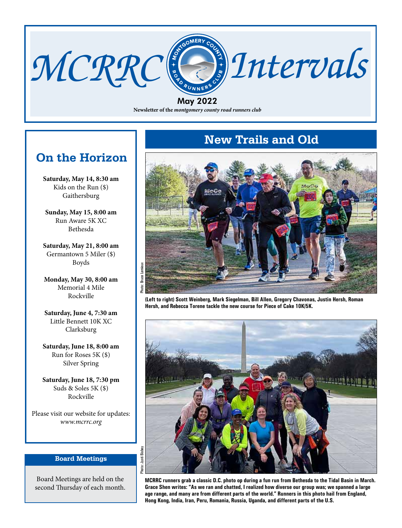### **Newsletter of the** *montgomery county road runners club* May 2022

MCRRC & Intervals

### **On the Horizon**

**Saturday, May 14, 8:30 am** Kids on the Run (\$) Gaithersburg

**Sunday, May 15, 8:00 am** Run Aware 5K XC Bethesda

**Saturday, May 21, 8:00 am** Germantown 5 Miler (\$) Boyds

**Monday, May 30, 8:00 am** Memorial 4 Mile Rockville

**Saturday, June 4, 7:30 am** Little Bennett 10K XC Clarksburg

**Saturday, June 18, 8:00 am** Run for Roses 5K (\$) Silver Spring

**Saturday, June 18, 7:30 pm** Suds & Soles 5K (\$) Rockville

Please visit our website for updates: *www.mcrrc.org*

### **Board Meetings**

Board Meetings are held on the second Thursday of each month.

### **New Trails and Old**



**(Left to right) Scott Weinberg, Mark Siegelman, Bill Allen, Gregory Chavonas, Justin Hersh, Roman Hersh, and Rebecca Torene tackle the new course for Piece of Cake 10K/5K.**



*www.mcrrc.org* May 2022 *Intervals* 1 **Hong Kong, India, Iran, Peru, Romania, Russia, Uganda, and different parts of the U.S. MCRRC runners grab a classic D.C. photo op during a fun run from Bethesda to the Tidal Basin in March. Grace Shen writes: "As we ran and chatted, I realized how diverse our group was; we spanned a large age range, and many are from different parts of the world." Runners in this photo hail from England,**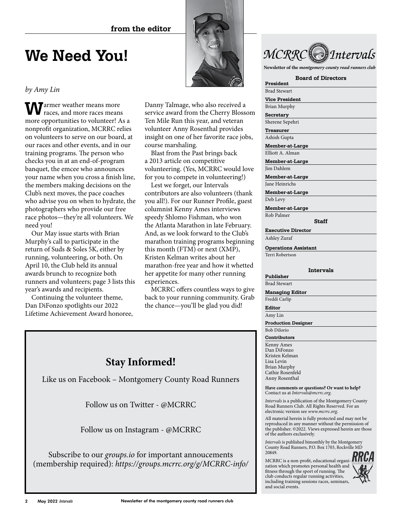

**A** armer weather means more races, and more races means more opportunities to volunteer! As a nonprofit organization, MCRRC relies on volunteers to serve on our board, at our races and other events, and in our training programs. The person who checks you in at an end-of-program banquet, the emcee who announces your name when you cross a finish line, the members making decisions on the Club's next moves, the pace coaches who advise you on when to hydrate, the photographers who provide our free race photos—they're all volunteers. We need you!

Our May issue starts with Brian Murphy's call to participate in the return of Suds & Soles 5K, either by running, volunteering, or both. On April 10, the Club held its annual awards brunch to recognize both runners and volunteers; page 3 lists this year's awards and recipients.

Continuing the volunteer theme, Dan DiFonzo spotlights our 2022 Lifetime Achievement Award honoree, Danny Talmage, who also received a service award from the Cherry Blossom Ten Mile Run this year, and veteran volunteer Anny Rosenthal provides insight on one of her favorite race jobs, course marshaling.

Blast from the Past brings back a 2013 article on competitive volunteering. (Yes, MCRRC would love for you to compete in volunteering!)

Lest we forget, our Intervals contributors are also volunteers (thank you all!). For our Runner Profile, guest columnist Kenny Ames interviews speedy Shlomo Fishman, who won the Atlanta Marathon in late February. And, as we look forward to the Club's marathon training programs beginning this month (FTM) or next (XMP), Kristen Kelman writes about her marathon-free year and how it whetted her appetite for many other running experiences.

MCRRC offers countless ways to give back to your running community. Grab the chance—you'll be glad you did!



**Newsletter of the** *montgomery county road runners club*

#### **Board of Directors President**

Brad Stewart

**Vice President**

Brian Murphy **Secretary**

Sherene Sepehri

**Treasurer** Ashish Gupta

**Member-at-Large**

Elliott A. Alman

**Member-at-Large** Jim Dahlem

**Member-at-Large**

Jane Heinrichs **Member-at-Large**

Deb Levy

**Member-at-Large** Rob Palmer

**Staff**

**Executive Director** Ashley Zuraf

**Operations Assistant** Terri Robertson

#### **Intervals**

### **Publisher**

Brad Stewart

**Managing Editor** Freddi Carlip

**Editor**

Amy Lin

**Production Designer**

### Bob DiIorio

**Contributors** Kenny Ames Dan DiFonzo Kristen Kelman Lisa Levin Brian Murphy Cathie Rosenfeld Anny Rosenthal

**Have comments or questions? Or want to help?** Contact us at *Intervals@mcrrc.org*.

*Intervals* is a publication of the Montgomery County Road Runners Club. All Rights Reserved. For an electronic version see *www.mcrrc.org*.

All material herein is fully protected and may not be reproduced in any manner without the permission of the publisher. ©2022. Views expressed herein are those of the authors exclusively.

*Intervals* is published bimonthly by the Montgomery County Road Runners, P.O. Box 1703, Rockville MD 20849.

MCRRC is a non-profit, educational organi- $\mathbf{H}\mathbf{R}\mathbf{C}$ <br>zation which promotes a zation which promotes personal health and fitness through the sport of running. The club conducts regular running activities, including training sessions races, seminars, and social events.



### **Stay Informed!**

Like us on Facebook – Montgomery County Road Runners

Follow us on Twitter - @MCRRC

Follow us on Instagram - @MCRRC

Subscribe to our *groups.io* for important annoucements (membership required): *https://groups.mcrrc.org/g/MCRRC-info/*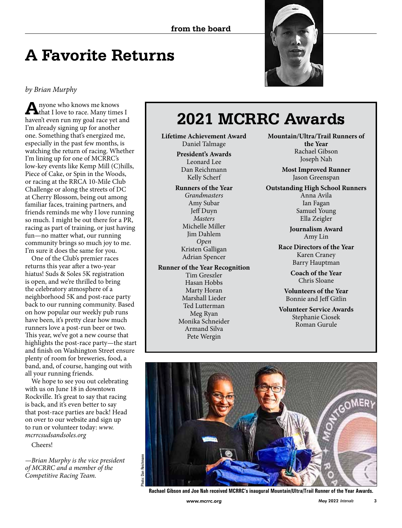# **A Favorite Returns**

*by Brian Murphy*

**A**nyone who knows me knows that I love to race. Many times I haven't even run my goal race yet and I'm already signing up for another one. Something that's energized me, especially in the past few months, is watching the return of racing. Whether I'm lining up for one of MCRRC's low-key events like Kemp Mill (C)hills, Piece of Cake, or Spin in the Woods, or racing at the RRCA 10-Mile Club Challenge or along the streets of DC at Cherry Blossom, being out among familiar faces, training partners, and friends reminds me why I love running so much. I might be out there for a PR, racing as part of training, or just having fun—no matter what, our running community brings so much joy to me. I'm sure it does the same for you.

One of the Club's premier races returns this year after a two-year hiatus! Suds & Soles 5K registration is open, and we're thrilled to bring the celebratory atmosphere of a neighborhood 5K and post-race party back to our running community. Based on how popular our weekly pub runs have been, it's pretty clear how much runners love a post-run beer or two. This year, we've got a new course that highlights the post-race party—the start and finish on Washington Street ensure plenty of room for breweries, food, a band, and, of course, hanging out with all your running friends.

We hope to see you out celebrating with us on June 18 in downtown Rockville. It's great to say that racing is back, and it's even better to say that post-race parties are back! Head on over to our website and sign up to run or volunteer today: *www. mcrrcsudsandsoles.org*

Cheers!

*—Brian Murphy is the vice president of MCRRC and a member of the Competitive Racing Team.*



# **2021 MCRRC Awards**

**Lifetime Achievement Award** Daniel Talmage

> **President's Awards** Leonard Lee Dan Reichmann Kelly Scherf

**Runners of the Year** *Grandmasters* Amy Subar Jeff Duyn *Masters* Michelle Miller Jim Dahlem *Open* Kristen Galligan Adrian Spencer

**Runner of the Year Recognition** Tim Greszler Hasan Hobbs Marty Horan Marshall Lieder Ted Lutterman Meg Ryan Monika Schneider Armand Silva Pete Wergin

**Mountain/Ultra/Trail Runners of the Year** Rachael Gibson Joseph Nah

> **Most Improved Runner** Jason Greenspan

**Outstanding High School Runners** Anna Avila Ian Fagan Samuel Young Ella Zeigler

> **Journalism Award**  Amy Lin

**Race Directors of the Year** Karen Craney Barry Hauptman

> **Coach of the Year** Chris Sloane

**Volunteers of the Year**  Bonnie and Jeff Gitlin

**Volunteer Service Awards** Stephanie Ciosek Roman Gurule



**Rachael Gibson and Joe Nah received MCRRC's inaugural Mountain/Ultra/Trail Runner of the Year Awards.**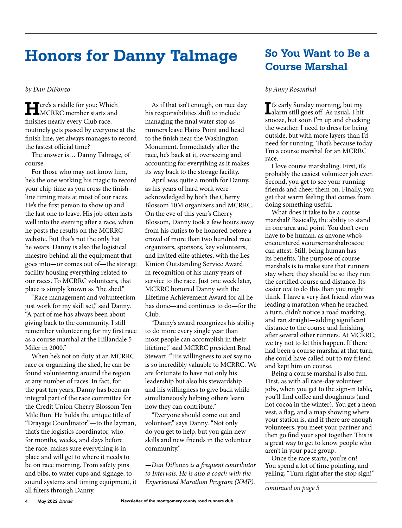### **Honors for Danny Talmage**

### *by Dan DiFonzo*

**H**ere's a riddle for you: Which MCRRC member starts and finishes nearly every Club race, routinely gets passed by everyone at the finish line, yet always manages to record the fastest official time?

The answer is… Danny Talmage, of course.

For those who may not know him, he's the one working his magic to record your chip time as you cross the finishline timing mats at most of our races. He's the first person to show up and the last one to leave. His job often lasts well into the evening after a race, when he posts the results on the MCRRC website. But that's not the only hat he wears. Danny is also the logistical maestro behind all the equipment that goes into—or comes out of—the storage facility housing everything related to our races. To MCRRC volunteers, that place is simply known as "the shed."

"Race management and volunteerism just work for my skill set," said Danny. "A part of me has always been about giving back to the community. I still remember volunteering for my first race as a course marshal at the Hillandale 5 Miler in 2000."

When he's not on duty at an MCRRC race or organizing the shed, he can be found volunteering around the region at any number of races. In fact, for the past ten years, Danny has been an integral part of the race committee for the Credit Union Cherry Blossom Ten Mile Run. He holds the unique title of "Drayage Coordinator"—to the layman, that's the logistics coordinator, who, for months, weeks, and days before the race, makes sure everything is in place and will get to where it needs to be on race morning. From safety pins and bibs, to water cups and signage, to sound systems and timing equipment, it all filters through Danny.

As if that isn't enough, on race day his responsibilities shift to include managing the final water stop as runners leave Hains Point and head to the finish near the Washington Monument. Immediately after the race, he's back at it, overseeing and accounting for everything as it makes its way back to the storage facility.

April was quite a month for Danny, as his years of hard work were acknowledged by both the Cherry Blossom 10M organizers and MCRRC. On the eve of this year's Cherry Blossom, Danny took a few hours away from his duties to be honored before a crowd of more than two hundred race organizers, sponsors, key volunteers, and invited elite athletes, with the Les Kinion Outstanding Service Award in recognition of his many years of service to the race. Just one week later, MCRRC honored Danny with the Lifetime Achievement Award for all he has done—and continues to do—for the Club.

"Danny's award recognizes his ability to do more every single year than most people can accomplish in their lifetime," said MCRRC president Brad Stewart. "His willingness to *not* say no is so incredibly valuable to MCRRC. We are fortunate to have not only his leadership but also his stewardship and his willingness to give back while simultaneously helping others learn how they can contribute."

"Everyone should come out and volunteer," says Danny. "Not only do you get to help, but you gain new skills and new friends in the volunteer community."

*—Dan DiFonzo is a frequent contributor to Intervals. He is also a coach with the Experienced Marathon Program (XMP).*

### **So You Want to Be a Course Marshal**

#### *by Anny Rosenthal*

**I**<sup>t's</sup> early Sunday morning, but my<br>
alarm still goes off. As usual, I hit **T**t's early Sunday morning, but my snooze, but soon I'm up and checking the weather. I need to dress for being outside, but with more layers than I'd need for running. That's because today I'm a course marshal for an MCRRC race.

I love course marshaling. First, it's probably the easiest volunteer job ever. Second, you get to see your running friends and cheer them on. Finally, you get that warm feeling that comes from doing something useful.

What does it take to be a course marshal? Basically, the ability to stand in one area and point. You don't even have to be human, as anyone who's encountered #coursemarshalroscoe can attest. Still, being human has its benefits. The purpose of course marshals is to make sure that runners stay where they should be so they run the certified course and distance. It's easier *not* to do this than you might think. I have a very fast friend who was leading a marathon when he reached a turn, didn't notice a road marking, and ran straight—adding significant distance to the course and finishing after several other runners. At MCRRC, we try not to let this happen. If there had been a course marshal at that turn, she could have called out to my friend and kept him on course.

Being a course marshal is also fun. First, as with all race-day volunteer jobs, when you get to the sign-in table, you'll find coffee and doughnuts (and hot cocoa in the winter). You get a neon vest, a flag, and a map showing where your station is, and if there are enough volunteers, you meet your partner and then go find your spot together. This is a great way to get to know people who aren't in your pace group.

Once the race starts, you're on! You spend a lot of time pointing, and yelling, "Turn right after the stop sign!"

*continued on page 5*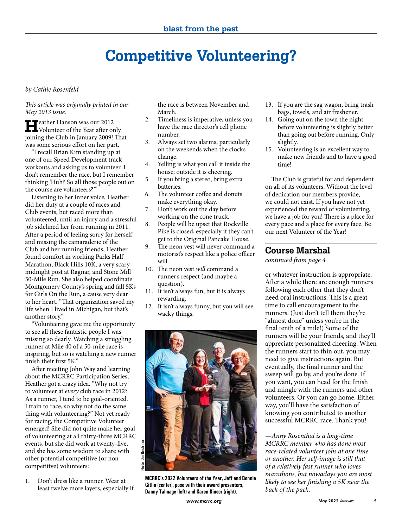# **Competitive Volunteering?**

### *by Cathie Rosenfeld*

*This article was originally printed in our May 2013 issue.*

**H**eather Hanson was our 2012 Volunteer of the Year after only joining the Club in January 2009! That was some serious effort on her part.

"I recall Brian Kim standing up at one of our Speed Development track workouts and asking us to volunteer. I don't remember the race, but I remember thinking 'Huh? So all those people out on the course are volunteers?'"

Listening to her inner voice, Heather did her duty at a couple of races and Club events, but raced more than volunteered, until an injury and a stressful job sidelined her from running in 2011. After a period of feeling sorry for herself and missing the camaraderie of the Club and her running friends, Heather found comfort in working Parks Half Marathon, Black Hills 10K, a very scary midnight post at Ragnar, and Stone Mill 50-Mile Run. She also helped coordinate Montgomery County's spring and fall 5Ks for Girls On the Run, a cause very dear to her heart. "That organization saved my life when I lived in Michigan, but that's another story."

"Volunteering gave me the opportunity to see all these fantastic people I was missing so dearly. Watching a struggling runner at Mile 40 of a 50-mile race is inspiring, but so is watching a new runner finish their first 5K."

After meeting John Way and learning about the MCRRC Participation Series, Heather got a crazy idea. "Why not try to volunteer at *every* club race in 2012? As a runner, I tend to be goal-oriented. I train to race, so why not do the same thing with volunteering?" Not yet ready for racing, the Competitive Volunteer emerged! She did not quite make her goal of volunteering at all thirty-three MCRRC events, but she did work at twenty-five, and she has some wisdom to share with other potential competitive (or noncompetitive) volunteers:

1. Don't dress like a runner. Wear at least twelve more layers, especially if

the race is between November and March.

- 2. Timeliness is imperative, unless you have the race director's cell phone number.
- 3. Always set two alarms, particularly on the weekends when the clocks change.
- 4. Yelling is what you call it inside the house; outside it is cheering.
- 5. If you bring a stereo, bring extra batteries.
- 6. The volunteer coffee and donuts make everything okay.
- 7. Don't work out the day before working on the cone truck.
- 8. People will be upset that Rockville Pike is closed, especially if they can't get to the Original Pancake House.
- 9. The neon vest will never command a motorist's respect like a police officer will.
- 10. The neon vest *will* command a runner's respect (and maybe a question).
- 11. It isn't always fun, but it is always rewarding.
- 12. It isn't always funny, but you will see wacky things.



**MCRRC's 2022 Volunteers of the Year, Jeff and Bonnie Gitlin (center), pose with their award presenters, Danny Talmage (left) and Karen Kincer (right).**

- 13. If you are the sag wagon, bring trash bags, towels, and air freshener.
- 14. Going out on the town the night before volunteering is slightly better than going out before running. Only slightly.
- 15. Volunteering is an excellent way to make new friends and to have a good time!

The Club is grateful for and dependent on all of its volunteers. Without the level of dedication our members provide, we could not exist. If you have not yet experienced the reward of volunteering, we have a job for you! There is a place for every pace and a place for every face. Be our next Volunteer of the Year!

### **Course Marshal**

*continued from page 4*

or whatever instruction is appropriate. After a while there are enough runners following each other that they don't need oral instructions. This is a great time to call encouragement to the runners. (Just don't tell them they're "almost done" unless you're in the final tenth of a mile!) Some of the runners will be your friends, and they'll appreciate personalized cheering. When the runners start to thin out, you may need to give instructions again. But eventually, the final runner and the sweep will go by, and you're done. If you want, you can head for the finish and mingle with the runners and other volunteers. Or you can go home. Either way, you'll have the satisfaction of knowing you contributed to another successful MCRRC race. Thank you!

*—Anny Rosenthal is a long-time MCRRC member who has done most race-related volunteer jobs at one time or another. Her self-image is still that of a relatively fast runner who loves marathons, but nowadays you are most likely to see her finishing a 5K near the back of the pack.*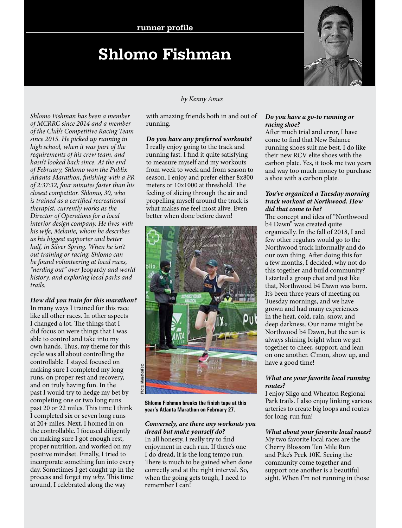# **Shlomo Fishman**

*Shlomo Fishman has been a member of MCRRC since 2014 and a member of the Club's Competitive Racing Team since 2015. He picked up running in high school, when it was part of the requirements of his crew team, and hasn't looked back since. At the end of February, Shlomo won the Publix Atlanta Marathon, finishing with a PR of 2:37:32, four minutes faster than his closest competitor. Shlomo, 30, who is trained as a certified recreational therapist, currently works as the Director of Operations for a local interior design company. He lives with his wife, Melanie, whom he describes as his biggest supporter and better half, in Silver Spring. When he isn't out training or racing, Shlomo can be found volunteering at local races, "nerding out" over* Jeopardy *and world history, and exploring local parks and trails.*

*How did you train for this marathon?*

In many ways I trained for this race like all other races. In other aspects I changed a lot. The things that I did focus on were things that I was able to control and take into my own hands. Thus, my theme for this cycle was all about controlling the controllable. I stayed focused on making sure I completed my long runs, on proper rest and recovery, and on truly having fun. In the past I would try to hedge my bet by completing one or two long runs past 20 or 22 miles. This time I think I completed six or seven long runs at 20+ miles. Next, I homed in on the controllable. I focused diligently on making sure I got enough rest, proper nutrition, and worked on my positive mindset. Finally, I tried to incorporate something fun into every day. Sometimes I get caught up in the process and forget my *why*. This time around, I celebrated along the way

### *by Kenny Ames*

with amazing friends both in and out of running.

*Do you have any preferred workouts?* I really enjoy going to the track and running fast. I find it quite satisfying to measure myself and my workouts from week to week and from season to season. I enjoy and prefer either 8x800 meters or 10x1000 at threshold. The feeling of slicing through the air and propelling myself around the track is what makes me feel most alive. Even better when done before dawn!



**Shlomo Fishman breaks the finish tape at this year's Atlanta Marathon on February 27.**

### *Conversely, are there any workouts you dread but make yourself do?*

In all honesty, I really try to find enjoyment in each run. If there's one I do dread, it is the long tempo run. There is much to be gained when done correctly and at the right interval. So, when the going gets tough, I need to remember I can!

### *Do you have a go-to running or racing shoe?*

After much trial and error, I have come to find that New Balance running shoes suit me best. I do like their new RCV elite shoes with the carbon plate. Yes, it took me two years and way too much money to purchase a shoe with a carbon plate.

### *You've organized a Tuesday morning track workout at Northwood. How did that come to be?*

The concept and idea of "Northwood b4 Dawn" was created quite organically. In the fall of 2018, I and few other regulars would go to the Northwood track informally and do our own thing. After doing this for a few months, I decided, why not do this together and build community? I started a group chat and just like that, Northwood b4 Dawn was born. It's been three years of meeting on Tuesday mornings, and we have grown and had many experiences in the heat, cold, rain, snow, and deep darkness. Our name might be Northwood b4 Dawn, but the sun is always shining bright when we get together to cheer, support, and lean on one another. C'mon, show up, and have a good time!

### *What are your favorite local running routes?*

I enjoy Sligo and Wheaton Regional Park trails. I also enjoy linking various arteries to create big loops and routes for long-run fun!

### *What about your favorite local races?*

My two favorite local races are the Cherry Blossom Ten Mile Run and Pike's Peek 10K. Seeing the community come together and support one another is a beautiful sight. When I'm not running in those

![](_page_5_Picture_20.jpeg)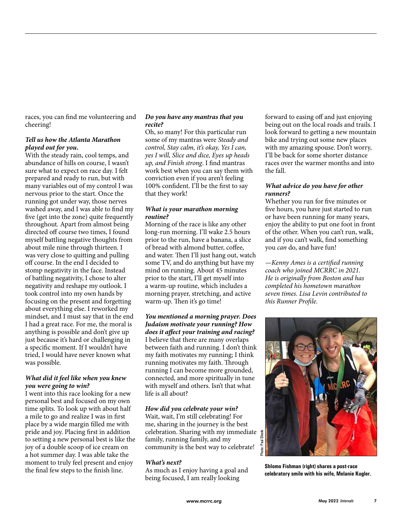races, you can find me volunteering and cheering!

### *Tell us how the Atlanta Marathon played out for you.*

With the steady rain, cool temps, and abundance of hills on course, I wasn't sure what to expect on race day. I felt prepared and ready to run, but with many variables out of my control I was nervous prior to the start. Once the running got under way, those nerves washed away, and I was able to find my five (get into the zone) quite frequently throughout. Apart from almost being directed off course two times, I found myself battling negative thoughts from about mile nine through thirteen. I was very close to quitting and pulling off course. In the end I decided to stomp negativity in the face. Instead of battling negativity, I chose to alter negativity and reshape my outlook. I took control into my own hands by focusing on the present and forgetting about everything else. I reworked my mindset, and I must say that in the end I had a great race. For me, the moral is anything is possible and don't give up just because it's hard or challenging in a specific moment. If I wouldn't have tried, I would have never known what was possible.

#### *What did it feel like when you knew you were going to win?*

I went into this race looking for a new personal best and focused on my own time splits. To look up with about half a mile to go and realize I was in first place by a wide margin filled me with pride and joy. Placing first in addition to setting a new personal best is like the joy of a double scoop of ice cream on a hot summer day. I was able take the moment to truly feel present and enjoy the final few steps to the finish line.

### *Do you have any mantras that you recite?*

Oh, so many! For this particular run some of my mantras were *Steady and control, Stay calm, it's okay, Yes I can, yes I will, Slice and dice, Eyes up heads up, and Finish strong*. I find mantras work best when you can say them with conviction even if you aren't feeling 100% confident. I'll be the first to say that they work!

### *What is your marathon morning routine?*

Morning of the race is like any other long-run morning. I'll wake 2.5 hours prior to the run, have a banana, a slice of bread with almond butter, coffee, and water. Then I'll just hang out, watch some TV, and do anything but have my mind on running. About 45 minutes prior to the start, I'll get myself into a warm-up routine, which includes a morning prayer, stretching, and active warm-up. Then it's go time!

### *You mentioned a morning prayer. Does Judaism motivate your running? How does it affect your training and racing?* I believe that there are many overlaps between faith and running. I don't think my faith motivates my running; I think running motivates my faith. Through running I can become more grounded, connected, and more spiritually in tune with myself and others. Isn't that what life is all about?

### *How did you celebrate your win?*

Wait, wait, I'm still celebrating! For me, sharing in the journey is the best celebration. Sharing with my immediate family, running family, and my community is the best way to celebrate!

### *What's next?*

As much as I enjoy having a goal and being focused, I am really looking

forward to easing off and just enjoying being out on the local roads and trails. I look forward to getting a new mountain bike and trying out some new places with my amazing spouse. Don't worry, I'll be back for some shorter distance races over the warmer months and into the fall.

### *What advice do you have for other runners?*

Whether you run for five minutes or five hours, you have just started to run or have been running for many years, enjoy the ability to put one foot in front of the other. When you can't run, walk, and if you can't walk, find something you *can* do, and have fun!

*—Kenny Ames is a certified running coach who joined MCRRC in 2021. He is originally from Boston and has completed his hometown marathon seven times. Lisa Levin contributed to this Runner Profile.*

![](_page_6_Picture_18.jpeg)

**Shlomo Fishman (right) shares a post-race celebratory smile with his wife, Melanie Kugler.**